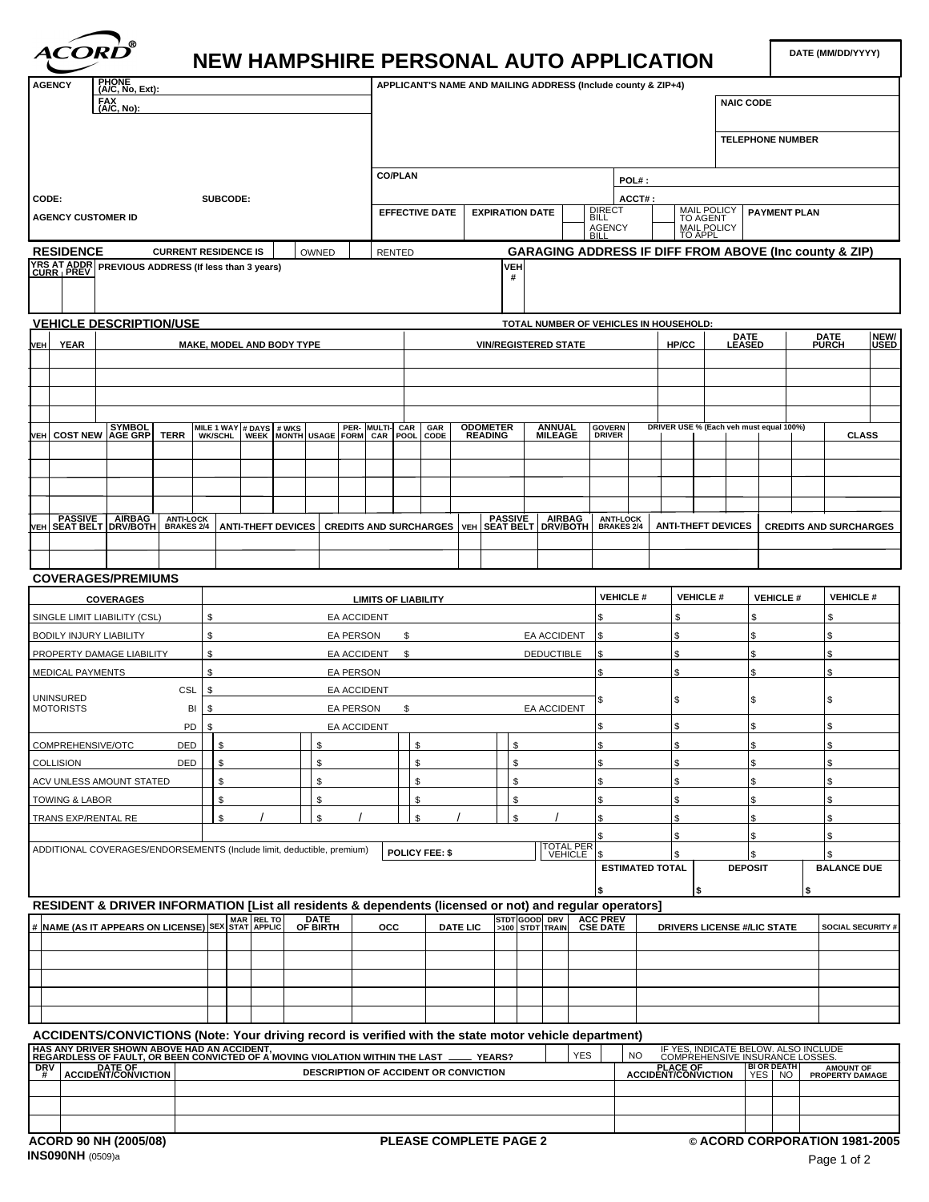

## **NEW HAMPSHIRE PERSONAL AUTO APPLICATION**

| AGENCY<br>$M$ C, No, Ext):                                                                                                                                                                                  |                     |                                           |                    |                                  | APPLICANT'S NAME AND MAILING ADDRESS (Include county & ZIP+4) |                  |                                                                                                |                         |                    |
|-------------------------------------------------------------------------------------------------------------------------------------------------------------------------------------------------------------|---------------------|-------------------------------------------|--------------------|----------------------------------|---------------------------------------------------------------|------------------|------------------------------------------------------------------------------------------------|-------------------------|--------------------|
| FAX<br><u>(A/C, No):</u>                                                                                                                                                                                    |                     |                                           |                    |                                  |                                                               |                  | <b>NAIC CODE</b>                                                                               |                         |                    |
|                                                                                                                                                                                                             |                     |                                           |                    |                                  |                                                               |                  |                                                                                                |                         |                    |
|                                                                                                                                                                                                             |                     |                                           |                    |                                  |                                                               |                  |                                                                                                | <b>TELEPHONE NUMBER</b> |                    |
|                                                                                                                                                                                                             |                     |                                           |                    |                                  |                                                               |                  |                                                                                                |                         |                    |
|                                                                                                                                                                                                             |                     |                                           |                    | CO/PLAN                          |                                                               | POL#:            |                                                                                                |                         |                    |
| CODE:                                                                                                                                                                                                       | SUBCODE:            |                                           |                    |                                  |                                                               | ACCT#            |                                                                                                |                         |                    |
| <b>AGENCY CUSTOMER ID</b>                                                                                                                                                                                   |                     |                                           |                    | EFFECTIVE DATE   EXPIRATION DATE |                                                               |                  | MAIL POLICY   PAYMENT PLAN<br>TO AGENT                                                         |                         |                    |
|                                                                                                                                                                                                             |                     |                                           |                    |                                  |                                                               | AGENCY           | <b>MAIL POLICY</b>                                                                             |                         |                    |
| <b>RESIDENCE</b>                                                                                                                                                                                            |                     | CURRENT RESIDENCE IS     OWNED     RENTED |                    |                                  |                                                               |                  | <b>GARAGING ADDRESS IF DIFF FROM ABOVE (Inc county &amp; ZIP)</b>                              |                         |                    |
| YRS AT ADDR<br>CURR   PREV PREVIOUS ADDRESS (If less than 3 years)                                                                                                                                          |                     |                                           |                    |                                  |                                                               |                  |                                                                                                |                         |                    |
|                                                                                                                                                                                                             |                     |                                           |                    |                                  |                                                               |                  |                                                                                                |                         |                    |
|                                                                                                                                                                                                             |                     |                                           |                    |                                  |                                                               |                  |                                                                                                |                         |                    |
| VEHICLE DESCRIPTION/USE                                                                                                                                                                                     |                     |                                           |                    |                                  | TOTAL NUMBER OF VEHICLES IN HOUSEHOLD:                        |                  |                                                                                                |                         |                    |
|                                                                                                                                                                                                             |                     |                                           |                    |                                  |                                                               |                  | DATE<br>LEASED                                                                                 |                         | NEW/<br>USED       |
| VEH YEAR                                                                                                                                                                                                    |                     | MAKE, MODEL AND BODY TYPE                 |                    |                                  | <b>VIN/REGISTERED STATE</b>                                   |                  | HP/CC                                                                                          | <b>DATE</b><br>PURCH    |                    |
|                                                                                                                                                                                                             |                     |                                           |                    |                                  |                                                               |                  |                                                                                                |                         |                    |
|                                                                                                                                                                                                             |                     |                                           |                    |                                  |                                                               |                  |                                                                                                |                         |                    |
|                                                                                                                                                                                                             |                     |                                           |                    |                                  |                                                               |                  |                                                                                                |                         |                    |
|                                                                                                                                                                                                             |                     |                                           |                    |                                  |                                                               |                  |                                                                                                |                         |                    |
| VEH COST NEW AGE GRP TERR WIKE 1 WAY # DAYS # WKS PER- MULTI- CAR GAR   ODOMETER                                                                                                                            |                     |                                           |                    |                                  | <b>ANNUAL</b><br>MILEAGE                                      | GOVERN<br>DRIVER | DRIVER USE % (Each veh must equal 100%)<br>$\mathbf{1}$ $\mathbf{1}$ $\mathbf{1}$ $\mathbf{1}$ |                         | <b>CLASS</b>       |
|                                                                                                                                                                                                             |                     |                                           |                    |                                  |                                                               |                  |                                                                                                |                         |                    |
|                                                                                                                                                                                                             |                     |                                           |                    |                                  |                                                               |                  |                                                                                                |                         |                    |
|                                                                                                                                                                                                             |                     |                                           |                    |                                  |                                                               |                  |                                                                                                |                         |                    |
|                                                                                                                                                                                                             |                     |                                           |                    |                                  |                                                               |                  |                                                                                                |                         |                    |
| VEH SEAT BELT DRV/BOTH BRAKES 24 ANTI-THEFT DEVICES CREDITS AND SURCHARGES VEH SEAT BELT DRV/BOTH BRAKES 2/4 ANTI-THEFT DEVICES CREDITS AND SURCHARGES                                                      |                     |                                           |                    |                                  |                                                               |                  |                                                                                                |                         |                    |
|                                                                                                                                                                                                             |                     |                                           |                    |                                  |                                                               |                  |                                                                                                |                         |                    |
|                                                                                                                                                                                                             |                     |                                           |                    |                                  |                                                               |                  |                                                                                                |                         |                    |
| <b>COVERAGES/PREMIUMS</b>                                                                                                                                                                                   |                     |                                           |                    |                                  |                                                               |                  |                                                                                                |                         |                    |
| <b>COVERAGES</b>                                                                                                                                                                                            |                     |                                           |                    | <b>LIMITS OF LIABILITY</b>       |                                                               |                  | $\vert$ VEHICLE # $\vert$ VEHICLE # $\vert$ VEHICLE # $\vert$ VEHICLE #                        |                         |                    |
| SINGLE LIMIT LIABILITY (CSL)                                                                                                                                                                                |                     |                                           | <b>EA ACCIDENT</b> |                                  |                                                               |                  |                                                                                                |                         |                    |
|                                                                                                                                                                                                             |                     |                                           |                    |                                  |                                                               |                  |                                                                                                |                         |                    |
| <b>BODILY INJURY LIABILITY</b>                                                                                                                                                                              |                     |                                           | <b>EA PERSON</b>   |                                  | EA ACCIDENT                                                   |                  |                                                                                                |                         |                    |
| PROPERTY DAMAGE LIABILITY                                                                                                                                                                                   |                     |                                           | EA ACCIDENT        |                                  | DEDUCTIBLE                                                    |                  |                                                                                                |                         |                    |
| MEDICAL PAYMENTS                                                                                                                                                                                            |                     |                                           | EA PERSON          |                                  |                                                               |                  |                                                                                                |                         |                    |
| UNINSURED                                                                                                                                                                                                   | CSL                 |                                           | EA ACCIDENT        |                                  |                                                               |                  |                                                                                                |                         |                    |
| <b>MOTORISTS</b>                                                                                                                                                                                            |                     |                                           | EA PERSON          |                                  | EA ACCIDENT                                                   |                  |                                                                                                |                         |                    |
|                                                                                                                                                                                                             |                     |                                           | <b>EA ACCIDENT</b> |                                  |                                                               |                  |                                                                                                |                         |                    |
| COMPREHENSIVE/OTC                                                                                                                                                                                           | <b>DED</b>          |                                           |                    |                                  |                                                               |                  |                                                                                                |                         |                    |
| <b>COLLISION</b>                                                                                                                                                                                            | $DED$ $\frac{1}{3}$ |                                           |                    |                                  |                                                               |                  |                                                                                                |                         |                    |
| ACV UNLESS AMOUNT STATED                                                                                                                                                                                    |                     |                                           |                    |                                  |                                                               |                  |                                                                                                |                         |                    |
| <b>TOWING &amp; LABOR</b>                                                                                                                                                                                   |                     |                                           |                    |                                  |                                                               |                  |                                                                                                |                         |                    |
| TRANS EXP/RENTAL RE                                                                                                                                                                                         |                     |                                           |                    |                                  | $\sim$ $\sim$ $\sim$                                          |                  |                                                                                                |                         |                    |
|                                                                                                                                                                                                             |                     |                                           |                    |                                  |                                                               |                  |                                                                                                |                         |                    |
| ADDITIONAL COVERAGES/ENDORSEMENTS (Include limit, deductible, premium)   POLICY FEE: \$                                                                                                                     |                     |                                           |                    |                                  | TOTAL PERT                                                    |                  |                                                                                                |                         |                    |
|                                                                                                                                                                                                             |                     |                                           |                    |                                  |                                                               | ESTIMATED TOTAL  | <b>DEPOSIT</b>                                                                                 |                         | <b>BALANCE DUE</b> |
|                                                                                                                                                                                                             |                     |                                           |                    |                                  |                                                               |                  |                                                                                                |                         |                    |
|                                                                                                                                                                                                             |                     |                                           |                    |                                  |                                                               |                  |                                                                                                |                         |                    |
| RESIDENT & DRIVER INFORMATION [List all residents & dependents (licensed or not) and regular operators]<br># NAME (AS IT APPEARS ON LICENSE) SEX STAT APPLIC OF BIRTH OCC DATE LIC 3100 STDT FRAIN CSE DATE |                     |                                           |                    |                                  |                                                               |                  |                                                                                                |                         |                    |
|                                                                                                                                                                                                             |                     |                                           |                    |                                  |                                                               |                  | DRIVERS LICENSE #/LIC STATE SOCIAL SECURITY #                                                  |                         |                    |
|                                                                                                                                                                                                             |                     |                                           |                    |                                  |                                                               |                  |                                                                                                |                         |                    |
|                                                                                                                                                                                                             |                     |                                           |                    |                                  |                                                               |                  |                                                                                                |                         |                    |
|                                                                                                                                                                                                             |                     | ————————                                  |                    |                                  | —— <del>———————</del>                                         |                  |                                                                                                |                         |                    |
|                                                                                                                                                                                                             |                     | ________                                  |                    |                                  | _____                                                         |                  |                                                                                                |                         |                    |
|                                                                                                                                                                                                             |                     |                                           |                    |                                  |                                                               |                  |                                                                                                |                         |                    |
|                                                                                                                                                                                                             |                     |                                           |                    |                                  |                                                               |                  |                                                                                                |                         |                    |
|                                                                                                                                                                                                             |                     |                                           |                    |                                  |                                                               |                  |                                                                                                |                         |                    |
|                                                                                                                                                                                                             |                     |                                           |                    |                                  |                                                               |                  |                                                                                                |                         |                    |
|                                                                                                                                                                                                             |                     |                                           |                    |                                  |                                                               |                  |                                                                                                |                         |                    |
|                                                                                                                                                                                                             |                     |                                           |                    |                                  |                                                               |                  |                                                                                                |                         |                    |
|                                                                                                                                                                                                             |                     |                                           |                    |                                  |                                                               |                  |                                                                                                |                         |                    |
|                                                                                                                                                                                                             |                     |                                           |                    | <b>PLEASE COMPLETE PAGE 2</b>    |                                                               |                  | © ACORD CORPORATION 1981-2005                                                                  |                         |                    |
| ACORD 90 NH (2005/08)                                                                                                                                                                                       |                     |                                           |                    |                                  |                                                               |                  |                                                                                                |                         | Page 1 of 2        |
|                                                                                                                                                                                                             |                     |                                           |                    |                                  |                                                               |                  |                                                                                                |                         |                    |